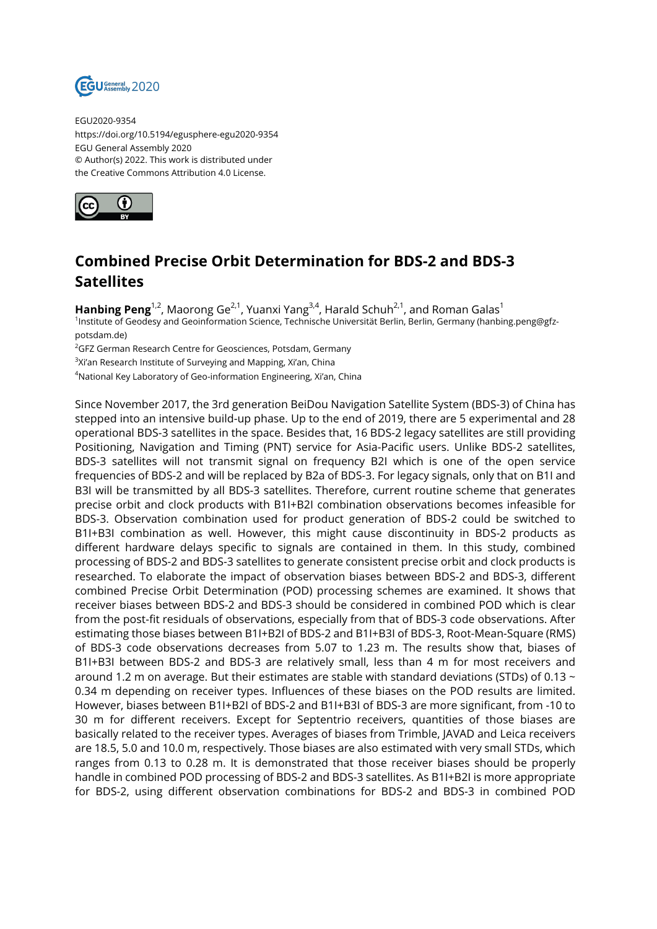

EGU2020-9354 https://doi.org/10.5194/egusphere-egu2020-9354 EGU General Assembly 2020 © Author(s) 2022. This work is distributed under the Creative Commons Attribution 4.0 License.



## **Combined Precise Orbit Determination for BDS-2 and BDS-3 Satellites**

Hanbing Peng<sup>1,2</sup>, Maorong Ge<sup>2,1</sup>, Yuanxi Yang<sup>3,4</sup>, Harald Schuh<sup>2,1</sup>, and Roman Galas<sup>1</sup> 1 Institute of Geodesy and Geoinformation Science, Technische Universität Berlin, Berlin, Germany (hanbing.peng@gfzpotsdam.de)

<sup>2</sup>GFZ German Research Centre for Geosciences, Potsdam, Germany

 $^3$ Xi'an Research Institute of Surveying and Mapping, Xi'an, China

<sup>4</sup>National Key Laboratory of Geo-information Engineering, Xi'an, China

Since November 2017, the 3rd generation BeiDou Navigation Satellite System (BDS-3) of China has stepped into an intensive build-up phase. Up to the end of 2019, there are 5 experimental and 28 operational BDS-3 satellites in the space. Besides that, 16 BDS-2 legacy satellites are still providing Positioning, Navigation and Timing (PNT) service for Asia-Pacific users. Unlike BDS-2 satellites, BDS-3 satellites will not transmit signal on frequency B2I which is one of the open service frequencies of BDS-2 and will be replaced by B2a of BDS-3. For legacy signals, only that on B1I and B3I will be transmitted by all BDS-3 satellites. Therefore, current routine scheme that generates precise orbit and clock products with B1I+B2I combination observations becomes infeasible for BDS-3. Observation combination used for product generation of BDS-2 could be switched to B1I+B3I combination as well. However, this might cause discontinuity in BDS-2 products as different hardware delays specific to signals are contained in them. In this study, combined processing of BDS-2 and BDS-3 satellites to generate consistent precise orbit and clock products is researched. To elaborate the impact of observation biases between BDS-2 and BDS-3, different combined Precise Orbit Determination (POD) processing schemes are examined. It shows that receiver biases between BDS-2 and BDS-3 should be considered in combined POD which is clear from the post-fit residuals of observations, especially from that of BDS-3 code observations. After estimating those biases between B1I+B2I of BDS-2 and B1I+B3I of BDS-3, Root-Mean-Square (RMS) of BDS-3 code observations decreases from 5.07 to 1.23 m. The results show that, biases of B1I+B3I between BDS-2 and BDS-3 are relatively small, less than 4 m for most receivers and around 1.2 m on average. But their estimates are stable with standard deviations (STDs) of 0.13 ~ 0.34 m depending on receiver types. Influences of these biases on the POD results are limited. However, biases between B1I+B2I of BDS-2 and B1I+B3I of BDS-3 are more significant, from -10 to 30 m for different receivers. Except for Septentrio receivers, quantities of those biases are basically related to the receiver types. Averages of biases from Trimble, JAVAD and Leica receivers are 18.5, 5.0 and 10.0 m, respectively. Those biases are also estimated with very small STDs, which ranges from 0.13 to 0.28 m. It is demonstrated that those receiver biases should be properly handle in combined POD processing of BDS-2 and BDS-3 satellites. As B1I+B2I is more appropriate for BDS-2, using different observation combinations for BDS-2 and BDS-3 in combined POD